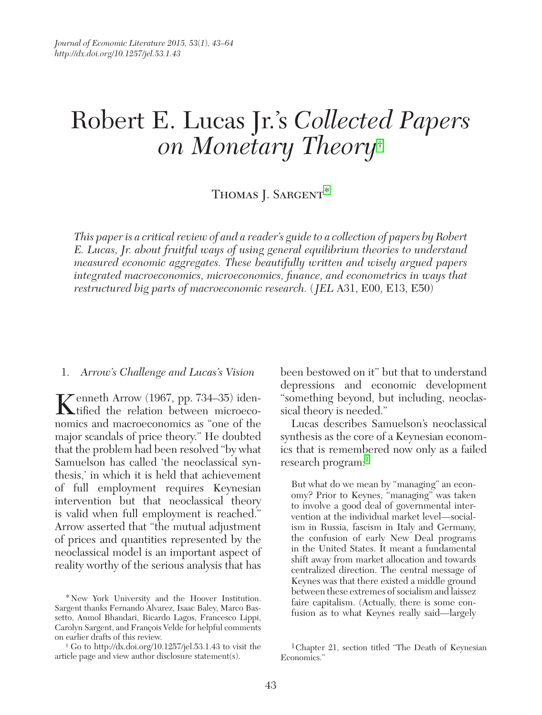# Robert E. Lucas Jr.'s *Collected Papers on Monetary Theory*†

# THOMAS J. SARGENT\*

*This paper is a critical review of and a reader's guide to a collection of papers by Robert E. Lucas, Jr. about fruitful ways of using general equilibrium theories to understand measured economic aggregates. These beautifully written and wisely argued papers integrated macroeconomics, microeconomics, finance, and econometrics in ways that restructured big parts of macroeconomic research.* (*JEL* A31, E00, E13, E50)

#### 1. *Arrow's Challenge and Lucas's Vision*

Kenneth Arrow (1967, pp. 734–35) iden-<br>tified the relation between microeconomics and macroeconomics as "one of the major scandals of price theory." He doubted that the problem had been resolved "by what Samuelson has called 'the neoclassical synthesis,' in which it is held that achievement of full employment requires Keynesian intervention but that neoclassical theory is valid when full employment is reached." Arrow asserted that "the mutual adjustment of prices and quantities represented by the neoclassical model is an important aspect of reality worthy of the serious analysis that has been bestowed on it" but that to understand depressions and economic development "something beyond, but including, neoclassical theory is needed."

Lucas describes Samuelson's neoclassical synthesis as the core of a Keynesian economics that is remembered now only as a failed research program:

But what do we mean by "managing" an economy? Prior to Keynes, "managing" was taken to involve a good deal of governmental intervention at the individual market level—socialism in Russia, fascism in Italy and Germany, the confusion of early New Deal programs in the United States. It meant a fundamental shift away from market allocation and towards centralized direction. The central message of Keynes was that there existed a middle ground between these extremes of socialism and laissez faire capitalism. (Actually, there is some confusion as to what Keynes really said—largely

<sup>\*</sup>New York University and the Hoover Institution. Sargent thanks Fernando Alvarez, Isaac Baley, Marco Bassetto, Anmol Bhandari, Ricardo Lagos, Francesco Lippi, Carolyn Sargent, and François Velde for helpful comments on earlier drafts of this review.

<sup>†</sup> Go to<http://dx.doi.org/10.1257/jel.53.1.43>to visit the article page and view author disclosure statement(s).

<sup>1</sup>Chapter 21, section titled "The Death of Keynesian Economics."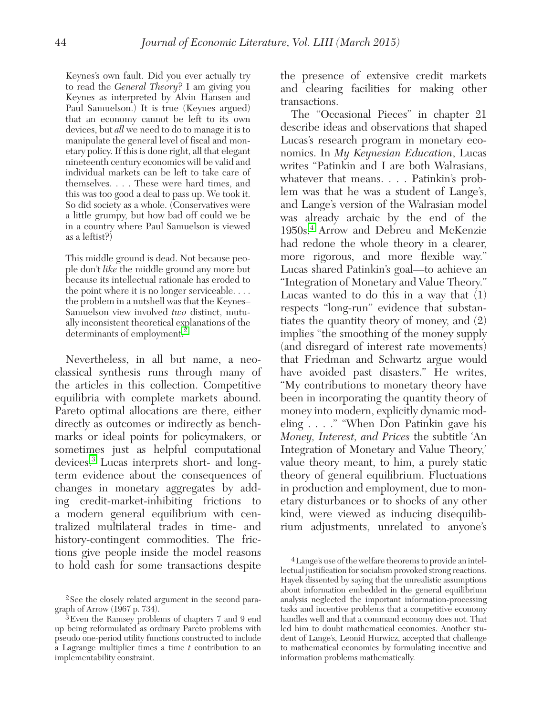Keynes's own fault. Did you ever actually try to read the *General Theory*? I am giving you Keynes as interpreted by Alvin Hansen and Paul Samuelson.) It is true (Keynes argued) that an economy cannot be left to its own devices, but *all* we need to do to manage it is to manipulate the general level of fiscal and monetary policy. If this is done right, all that elegant nineteenth century economics will be valid and individual markets can be left to take care of themselves. . . . These were hard times, and this was too good a deal to pass up. We took it. So did society as a whole. (Conservatives were a little grumpy, but how bad off could we be in a country where Paul Samuelson is viewed as a leftist?)

This middle ground is dead. Not because people don't *like* the middle ground any more but because its intellectual rationale has eroded to the point where it is no longer serviceable. . . . the problem in a nutshell was that the Keynes– Samuelson view involved *two* distinct, mutually inconsistent theoretical explanations of the determinants of employment.<sup>2</sup>

Nevertheless, in all but name, a neoclassical synthesis runs through many of the articles in this collection. Competitive equilibria with complete markets abound. Pareto optimal allocations are there, either directly as outcomes or indirectly as benchmarks or ideal points for policymakers, or sometimes just as helpful computational devices.3 Lucas interprets short- and longterm evidence about the consequences of changes in monetary aggregates by adding credit-market-inhibiting frictions to a modern general equilibrium with centralized multilateral trades in time- and history-contingent commodities. The frictions give people inside the model reasons to hold cash for some transactions despite

the presence of extensive credit markets and clearing facilities for making other transactions.

The "Occasional Pieces" in chapter 21 describe ideas and observations that shaped Lucas's research program in monetary economics. In *My Keynesian Education*, Lucas writes "Patinkin and I are both Walrasians, whatever that means. . . . Patinkin's problem was that he was a student of Lange's, and Lange's version of the Walrasian model was already archaic by the end of the 1950s.4 Arrow and Debreu and McKenzie had redone the whole theory in a clearer, more rigorous, and more flexible way." Lucas shared Patinkin's goal—to achieve an "Integration of Monetary and Value Theory." Lucas wanted to do this in a way that (1) respects "long-run" evidence that substantiates the quantity theory of money, and (2) implies "the smoothing of the money supply (and disregard of interest rate movements) that Friedman and Schwartz argue would have avoided past disasters." He writes, "My contributions to monetary theory have been in incorporating the quantity theory of money into modern, explicitly dynamic modeling . . . ." "When Don Patinkin gave his *Money, Interest, and Prices* the subtitle 'An Integration of Monetary and Value Theory,' value theory meant, to him, a purely static theory of general equilibrium. Fluctuations in production and employment, due to monetary disturbances or to shocks of any other kind, were viewed as inducing disequilibrium adjustments, unrelated to anyone's

<sup>2</sup>See the closely related argument in the second paragraph of Arrow (1967 p. 734).

<sup>3</sup>Even the Ramsey problems of chapters 7 and 9 end up being reformulated as ordinary Pareto problems with pseudo one-period utility functions constructed to include a Lagrange multiplier times a time *t* contribution to an implementability constraint.

<sup>4</sup>Lange's use of the welfare theorems to provide an intellectual justification for socialism provoked strong reactions. Hayek dissented by saying that the unrealistic assumptions about information embedded in the general equilibrium analysis neglected the important information-processing tasks and incentive problems that a competitive economy handles well and that a command economy does not. That led him to doubt mathematical economics. Another student of Lange's, Leonid Hurwicz, accepted that challenge to mathematical economics by formulating incentive and information problems mathematically.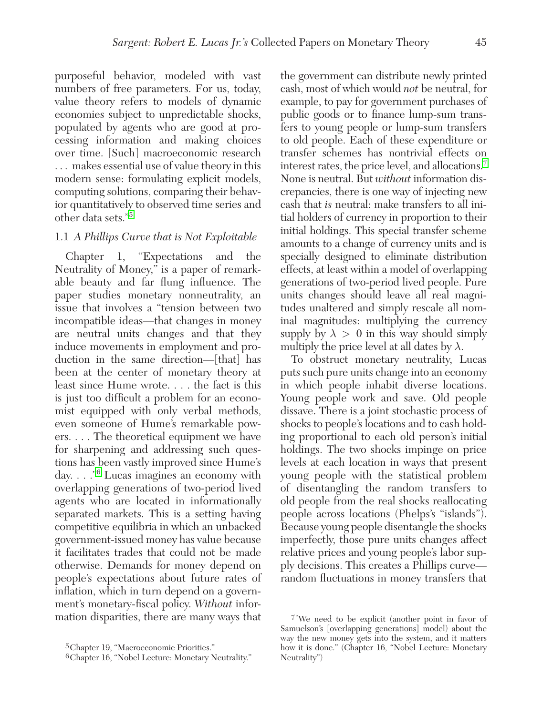purposeful behavior, modeled with vast numbers of free parameters. For us, today, value theory refers to models of dynamic economies subject to unpredictable shocks, populated by agents who are good at processing information and making choices over time. [Such] macroeconomic research . . . makes essential use of value theory in this modern sense: formulating explicit models, computing solutions, comparing their behavior quantitatively to observed time series and other data sets."5

#### 1.1 *A Phillips Curve that is Not Exploitable*

Chapter 1, "Expectations and the Neutrality of Money," is a paper of remarkable beauty and far flung influence. The paper studies monetary nonneutrality, an issue that involves a "tension between two incompatible ideas—that changes in money are neutral units changes and that they induce movements in employment and production in the same direction—[that] has been at the center of monetary theory at least since Hume wrote. . . . the fact is this is just too difficult a problem for an economist equipped with only verbal methods, even someone of Hume's remarkable powers. . . . The theoretical equipment we have for sharpening and addressing such questions has been vastly improved since Hume's day. . . ."6 Lucas imagines an economy with overlapping generations of two-period lived agents who are located in informationally separated markets. This is a setting having competitive equilibria in which an unbacked government-issued money has value because it facilitates trades that could not be made otherwise. Demands for money depend on people's expectations about future rates of inflation, which in turn depend on a government's monetary-fiscal policy. *Without* information disparities, there are many ways that

the government can distribute newly printed cash, most of which would *not* be neutral, for example, to pay for government purchases of public goods or to finance lump-sum transfers to young people or lump-sum transfers to old people. Each of these expenditure or transfer schemes has nontrivial effects on interest rates, the price level, and allocations.7 None is neutral. But *without* information discrepancies, there is one way of injecting new cash that *is* neutral: make transfers to all initial holders of currency in proportion to their initial holdings. This special transfer scheme amounts to a change of currency units and is specially designed to eliminate distribution effects, at least within a model of overlapping generations of two-period lived people. Pure units changes should leave all real magnitudes unaltered and simply rescale all nominal magnitudes: multiplying the currency supply by  $\lambda > 0$  in this way should simply multiply the price level at all dates by  $\lambda$ .

To obstruct monetary neutrality, Lucas puts such pure units change into an economy in which people inhabit diverse locations. Young people work and save. Old people dissave. There is a joint stochastic process of shocks to people's locations and to cash holding proportional to each old person's initial holdings. The two shocks impinge on price levels at each location in ways that present young people with the statistical problem of disentangling the random transfers to old people from the real shocks reallocating people across locations (Phelps's "islands"). Because young people disentangle the shocks imperfectly, those pure units changes affect relative prices and young people's labor supply decisions. This creates a Phillips curve random fluctuations in money transfers that

<sup>5</sup>Chapter 19, "Macroeconomic Priorities."

<sup>6</sup>Chapter 16, "Nobel Lecture: Monetary Neutrality."

<sup>7&</sup>quot;We need to be explicit (another point in favor of Samuelson's [overlapping generations] model) about the way the new money gets into the system, and it matters how it is done." (Chapter 16, "Nobel Lecture: Monetary Neutrality")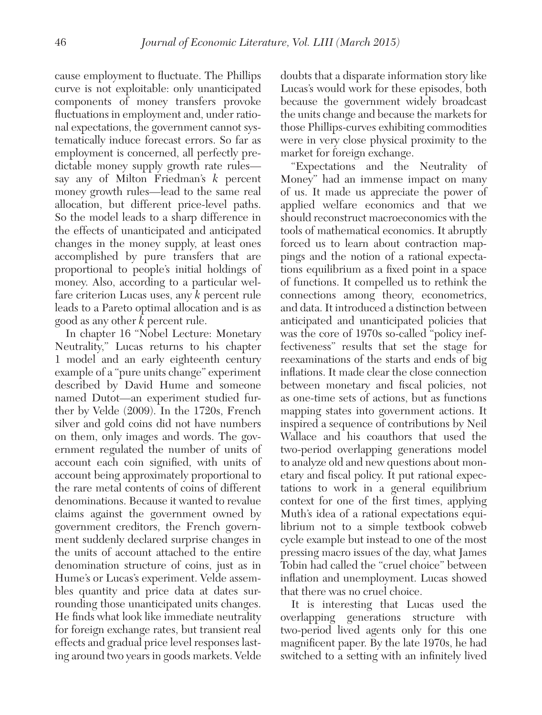cause employment to fluctuate. The Phillips curve is not exploitable: only unanticipated components of money transfers provoke fluctuations in employment and, under rational expectations, the government cannot systematically induce forecast errors. So far as employment is concerned, all perfectly predictable money supply growth rate rules say any of Milton Friedman's *k* percent money growth rules—lead to the same real allocation, but different price-level paths. So the model leads to a sharp difference in the effects of unanticipated and anticipated changes in the money supply, at least ones accomplished by pure transfers that are proportional to people's initial holdings of money. Also, according to a particular welfare criterion Lucas uses, any *k* percent rule leads to a Pareto optimal allocation and is as good as any other *k* percent rule.

In chapter 16 "Nobel Lecture: Monetary Neutrality," Lucas returns to his chapter 1 model and an early eighteenth century example of a "pure units change" experiment described by David Hume and someone named Dutot—an experiment studied further by Velde (2009). In the 1720s, French silver and gold coins did not have numbers on them, only images and words. The government regulated the number of units of account each coin signified, with units of account being approximately proportional to the rare metal contents of coins of different denominations. Because it wanted to revalue claims against the government owned by government creditors, the French government suddenly declared surprise changes in the units of account attached to the entire denomination structure of coins, just as in Hume's or Lucas's experiment. Velde assembles quantity and price data at dates surrounding those unanticipated units changes. He finds what look like immediate neutrality for foreign exchange rates, but transient real effects and gradual price level responses lasting around two years in goods markets. Velde

doubts that a disparate information story like Lucas's would work for these episodes, both because the government widely broadcast the units change and because the markets for those Phillips-curves exhibiting commodities were in very close physical proximity to the market for foreign exchange.

"Expectations and the Neutrality of Money" had an immense impact on many of us. It made us appreciate the power of applied welfare economics and that we should reconstruct macroeconomics with the tools of mathematical economics. It abruptly forced us to learn about contraction mappings and the notion of a rational expectations equilibrium as a fixed point in a space of functions. It compelled us to rethink the connections among theory, econometrics, and data. It introduced a distinction between anticipated and unanticipated policies that was the core of 1970s so-called "policy ineffectiveness" results that set the stage for reexaminations of the starts and ends of big inflations. It made clear the close connection between monetary and fiscal policies, not as one-time sets of actions, but as functions mapping states into government actions. It inspired a sequence of contributions by Neil Wallace and his coauthors that used the two-period overlapping generations model to analyze old and new questions about monetary and fiscal policy. It put rational expectations to work in a general equilibrium context for one of the first times, applying Muth's idea of a rational expectations equilibrium not to a simple textbook cobweb cycle example but instead to one of the most pressing macro issues of the day, what James Tobin had called the "cruel choice" between inflation and unemployment. Lucas showed that there was no cruel choice.

It is interesting that Lucas used the overlapping generations structure with two-period lived agents only for this one magnificent paper. By the late 1970s, he had switched to a setting with an infinitely lived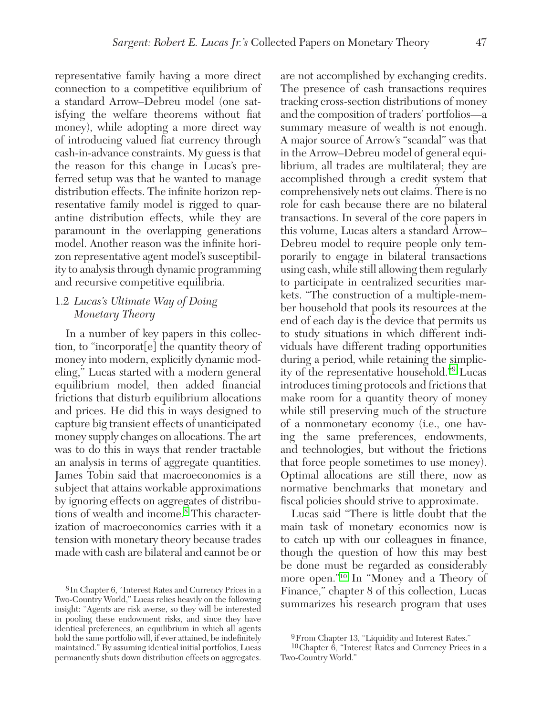representative family having a more direct connection to a competitive equilibrium of a standard Arrow–Debreu model (one satisfying the welfare theorems without fiat money), while adopting a more direct way of introducing valued fiat currency through cash-in-advance constraints. My guess is that the reason for this change in Lucas's preferred setup was that he wanted to manage distribution effects. The infinite horizon representative family model is rigged to quarantine distribution effects, while they are paramount in the overlapping generations model. Another reason was the infinite horizon representative agent model's susceptibility to analysis through dynamic programming and recursive competitive equilibria.

#### 1.2 *Lucas's Ultimate Way of Doing Monetary Theory*

In a number of key papers in this collection, to "incorporat[e] the quantity theory of money into modern, explicitly dynamic modeling," Lucas started with a modern general equilibrium model, then added financial frictions that disturb equilibrium allocations and prices. He did this in ways designed to capture big transient effects of unanticipated money supply changes on allocations. The art was to do this in ways that render tractable an analysis in terms of aggregate quantities. James Tobin said that macroeconomics is a subject that attains workable approximations by ignoring effects on aggregates of distributions of wealth and income.<sup>8</sup> This characterization of macroeconomics carries with it a tension with monetary theory because trades made with cash are bilateral and cannot be or are not accomplished by exchanging credits. The presence of cash transactions requires tracking cross-section distributions of money and the composition of traders' portfolios—a summary measure of wealth is not enough. A major source of Arrow's "scandal" was that in the Arrow–Debreu model of general equilibrium, all trades are multilateral; they are accomplished through a credit system that comprehensively nets out claims. There is no role for cash because there are no bilateral transactions. In several of the core papers in this volume, Lucas alters a standard Arrow– Debreu model to require people only temporarily to engage in bilateral transactions using cash, while still allowing them regularly to participate in centralized securities markets. "The construction of a multiple-member household that pools its resources at the end of each day is the device that permits us to study situations in which different individuals have different trading opportunities during a period, while retaining the simplicity of the representative household."9 Lucas introduces timing protocols and frictions that make room for a quantity theory of money while still preserving much of the structure of a nonmonetary economy (i.e., one having the same preferences, endowments, and technologies, but without the frictions that force people sometimes to use money). Optimal allocations are still there, now as normative benchmarks that monetary and fiscal policies should strive to approximate.

Lucas said "There is little doubt that the main task of monetary economics now is to catch up with our colleagues in finance, though the question of how this may best be done must be regarded as considerably more open."<sup>10</sup> In "Money and a Theory of Finance," chapter 8 of this collection, Lucas summarizes his research program that uses

<sup>8</sup>In Chapter 6, "Interest Rates and Currency Prices in a Two-Country World," Lucas relies heavily on the following insight: "Agents are risk averse, so they will be interested in pooling these endowment risks, and since they have identical preferences, an equilibrium in which all agents hold the same portfolio will, if ever attained, be indefinitely maintained." By assuming identical initial portfolios, Lucas permanently shuts down distribution effects on aggregates.

<sup>9</sup>From Chapter 13, "Liquidity and Interest Rates."

<sup>10</sup>Chapter 6, "Interest Rates and Currency Prices in a Two-Country World."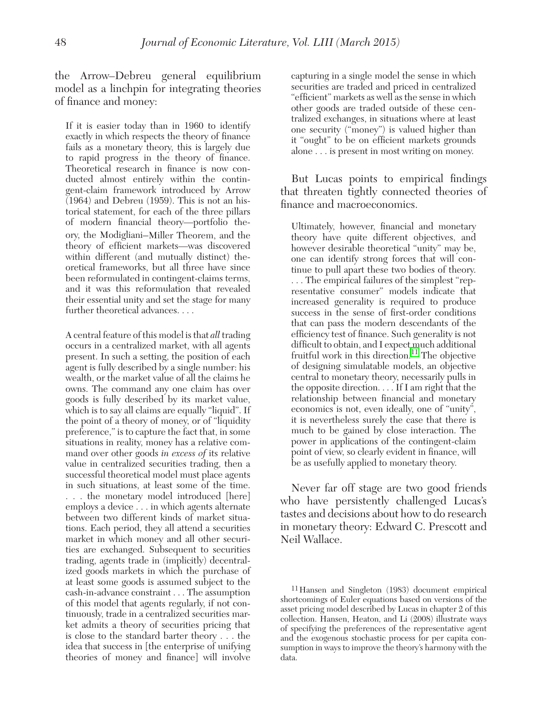the Arrow–Debreu general equilibrium model as a linchpin for integrating theories of finance and money:

If it is easier today than in 1960 to identify exactly in which respects the theory of finance fails as a monetary theory, this is largely due to rapid progress in the theory of finance. Theoretical research in finance is now conducted almost entirely within the contingent-claim framework introduced by Arrow  $(1964)$  and Debreu (1959). This is not an historical statement, for each of the three pillars of modern financial theory—portfolio theory, the Modigliani–Miller Theorem, and the theory of efficient markets—was discovered within different (and mutually distinct) theoretical frameworks, but all three have since been reformulated in contingent-claims terms, and it was this reformulation that revealed their essential unity and set the stage for many further theoretical advances. . . .

A central feature of this model is that *all* trading occurs in a centralized market, with all agents present. In such a setting, the position of each agent is fully described by a single number: his wealth, or the market value of all the claims he owns. The command any one claim has over goods is fully described by its market value, which is to say all claims are equally "liquid". If the point of a theory of money, or of "liquidity preference," is to capture the fact that, in some situations in reality, money has a relative command over other goods *in excess of* its relative value in centralized securities trading, then a successful theoretical model must place agents in such situations, at least some of the time. . . . the monetary model introduced [here] employs a device . . . in which agents alternate between two different kinds of market situations. Each period, they all attend a securities market in which money and all other securities are exchanged. Subsequent to securities trading, agents trade in (implicitly) decentralized goods markets in which the purchase of at least some goods is assumed subject to the cash-in-advance constraint . . . The assumption of this model that agents regularly, if not continuously, trade in a centralized securities market admits a theory of securities pricing that is close to the standard barter theory . . . the idea that success in [the enterprise of unifying theories of money and finance] will involve

capturing in a single model the sense in which securities are traded and priced in centralized "efficient" markets as well as the sense in which other goods are traded outside of these centralized exchanges, in situations where at least one security ("money") is valued higher than it "ought" to be on efficient markets grounds alone . . . is present in most writing on money.

But Lucas points to empirical findings that threaten tightly connected theories of finance and macroeconomics.

Ultimately, however, financial and monetary theory have quite different objectives, and however desirable theoretical "unity" may be, one can identify strong forces that will continue to pull apart these two bodies of theory. . . . The empirical failures of the simplest "representative consumer" models indicate that increased generality is required to produce success in the sense of first-order conditions that can pass the modern descendants of the efficiency test of finance. Such generality is not difficult to obtain, and I expect much additional fruitful work in this direction.<sup>11</sup> The objective of designing simulatable models, an objective central to monetary theory, necessarily pulls in the opposite direction. . . . If I am right that the relationship between financial and monetary economics is not, even ideally, one of "unity", it is nevertheless surely the case that there is much to be gained by close interaction. The power in applications of the contingent-claim point of view, so clearly evident in finance, will be as usefully applied to monetary theory.

Never far off stage are two good friends who have persistently challenged Lucas's tastes and decisions about how to do research in monetary theory: Edward C. Prescott and Neil Wallace.

<sup>11</sup>Hansen and Singleton (1983) document empirical shortcomings of Euler equations based on versions of the asset pricing model described by Lucas in chapter 2 of this collection. Hansen, Heaton, and Li (2008) illustrate ways of specifying the preferences of the representative agent and the exogenous stochastic process for per capita consumption in ways to improve the theory's harmony with the data.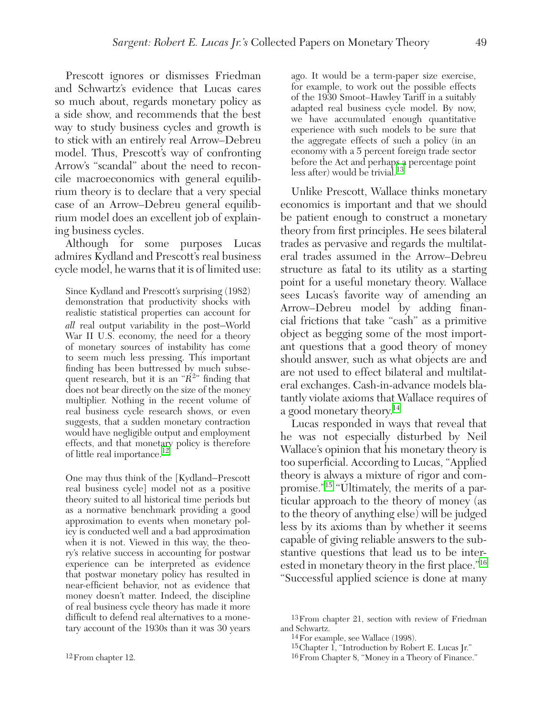Prescott ignores or dismisses Friedman and Schwartz's evidence that Lucas cares so much about, regards monetary policy as a side show, and recommends that the best way to study business cycles and growth is to stick with an entirely real Arrow–Debreu model. Thus, Prescott's way of confronting Arrow's "scandal" about the need to reconcile macroeconomics with general equilibrium theory is to declare that a very special case of an Arrow–Debreu general equilibrium model does an excellent job of explaining business cycles.

Although for some purposes Lucas admires Kydland and Prescott's real business cycle model, he warns that it is of limited use:

Since Kydland and Prescott's surprising (1982) demonstration that productivity shocks with realistic statistical properties can account for *all* real output variability in the post–World War II U.S. economy, the need for a theory of monetary sources of instability has come to seem much less pressing. This important finding has been buttressed by much subsequent research, but it is an " $\check{R}^{2n}$  finding that does not bear directly on the size of the money multiplier. Nothing in the recent volume of real business cycle research shows, or even suggests, that a sudden monetary contraction would have negligible output and employment effects, and that monetary policy is therefore of little real importance.<sup>12</sup>

One may thus think of the [Kydland–Prescott real business cycle] model not as a positive theory suited to all historical time periods but as a normative benchmark providing a good approximation to events when monetary policy is conducted well and a bad approximation when it is not. Viewed in this way, the theory's relative success in accounting for postwar experience can be interpreted as evidence that postwar monetary policy has resulted in near-efficient behavior, not as evidence that money doesn't matter. Indeed, the discipline of real business cycle theory has made it more difficult to defend real alternatives to a monetary account of the 1930s than it was 30 years ago. It would be a term-paper size exercise, for example, to work out the possible effects of the 1930 Smoot–Hawley Tariff in a suitably adapted real business cycle model. By now, we have accumulated enough quantitative experience with such models to be sure that the aggregate effects of such a policy (in an economy with a 5 percent foreign trade sector before the Act and perhaps a percentage point<br>less after) would be trivial.<sup>13</sup>

Unlike Prescott, Wallace thinks monetary economics is important and that we should be patient enough to construct a monetary theory from first principles. He sees bilateral trades as pervasive and regards the multilateral trades assumed in the Arrow–Debreu structure as fatal to its utility as a starting point for a useful monetary theory. Wallace sees Lucas's favorite way of amending an Arrow–Debreu model by adding financial frictions that take "cash" as a primitive object as begging some of the most important questions that a good theory of money should answer, such as what objects are and are not used to effect bilateral and multilateral exchanges. Cash-in-advance models blatantly violate axioms that Wallace requires of a good monetary theory.<sup>14</sup>

Lucas responded in ways that reveal that he was not especially disturbed by Neil Wallace's opinion that his monetary theory is too superficial. According to Lucas, "Applied theory is always a mixture of rigor and compromise."15 "Ultimately, the merits of a particular approach to the theory of money (as to the theory of anything else) will be judged less by its axioms than by whether it seems capable of giving reliable answers to the substantive questions that lead us to be interested in monetary theory in the first place."16 "Successful applied science is done at many

<sup>13</sup>From chapter 21, section with review of Friedman and Schwartz.

<sup>14</sup>For example, see Wallace (1998).

 $15$ Chapter I, "Introduction by Robert E. Lucas Jr."

<sup>16</sup>From Chapter 8, "Money in a Theory of Finance."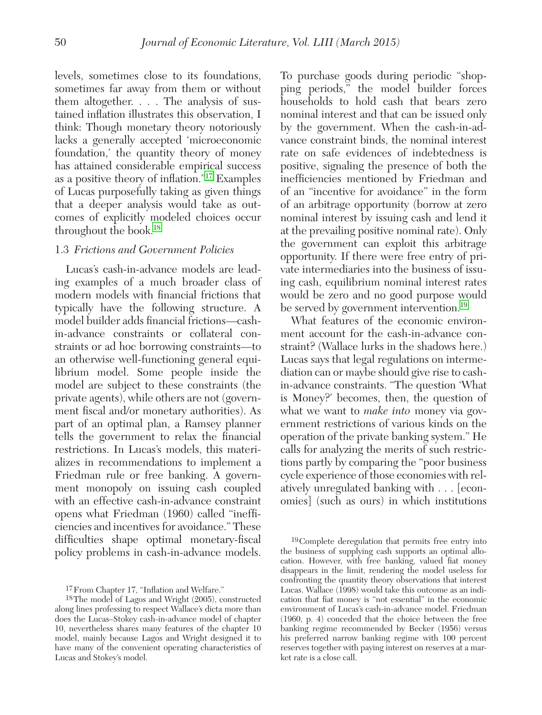levels, sometimes close to its foundations, sometimes far away from them or without them altogether. . . . The analysis of sustained inflation illustrates this observation, I think: Though monetary theory notoriously lacks a generally accepted 'microeconomic foundation,' the quantity theory of money has attained considerable empirical success as a positive theory of inflation."17 Examples of Lucas purposefully taking as given things that a deeper analysis would take as outcomes of explicitly modeled choices occur throughout the book.18

#### 1.3 *Frictions and Government Policies*

Lucas's cash-in-advance models are leading examples of a much broader class of modern models with financial frictions that typically have the following structure. A model builder adds financial frictions—cashin-advance constraints or collateral constraints or ad hoc borrowing constraints—to an otherwise well-functioning general equilibrium model. Some people inside the model are subject to these constraints (the private agents), while others are not (government fiscal and/or monetary authorities). As part of an optimal plan, a Ramsey planner tells the government to relax the financial restrictions. In Lucas's models, this materializes in recommendations to implement a Friedman rule or free banking. A government monopoly on issuing cash coupled with an effective cash-in-advance constraint opens what Friedman (1960) called "inefficiencies and incentives for avoidance." These difficulties shape optimal monetary-fiscal policy problems in cash-in-advance models.

17From Chapter 17, "Inflation and Welfare."

To purchase goods during periodic "shopping periods," the model builder forces households to hold cash that bears zero nominal interest and that can be issued only by the government. When the cash-in-advance constraint binds, the nominal interest rate on safe evidences of indebtedness is positive, signaling the presence of both the inefficiencies mentioned by Friedman and of an "incentive for avoidance" in the form of an arbitrage opportunity (borrow at zero nominal interest by issuing cash and lend it at the prevailing positive nominal rate). Only the government can exploit this arbitrage opportunity. If there were free entry of private intermediaries into the business of issuing cash, equilibrium nominal interest rates would be zero and no good purpose would be served by government intervention.<sup>19</sup>

What features of the economic environment account for the cash-in-advance constraint? (Wallace lurks in the shadows here.) Lucas says that legal regulations on intermediation can or maybe should give rise to cashin-advance constraints. "The question 'What is Money?' becomes, then, the question of what we want to *make into* money via government restrictions of various kinds on the operation of the private banking system." He calls for analyzing the merits of such restrictions partly by comparing the "poor business cycle experience of those economies with relatively unregulated banking with . . . [economies] (such as ours) in which institutions

<sup>18</sup>The model of Lagos and Wright (2005), constructed along lines professing to respect Wallace's dicta more than does the Lucas–Stokey cash-in-advance model of chapter 10, nevertheless shares many features of the chapter 10 model, mainly because Lagos and Wright designed it to have many of the convenient operating characteristics of Lucas and Stokey's model.

<sup>19</sup>Complete deregulation that permits free entry into the business of supplying cash supports an optimal allocation. However, with free banking, valued fiat money disappears in the limit, rendering the model useless for confronting the quantity theory observations that interest Lucas. Wallace (1998) would take this outcome as an indication that fiat money is "not essential" in the economic environment of Lucas's cash-in-advance model. Friedman (1960, p. 4) conceded that the choice between the free banking regime recommended by Becker (1956) versus his preferred narrow banking regime with 100 percent reserves together with paying interest on reserves at a market rate is a close call.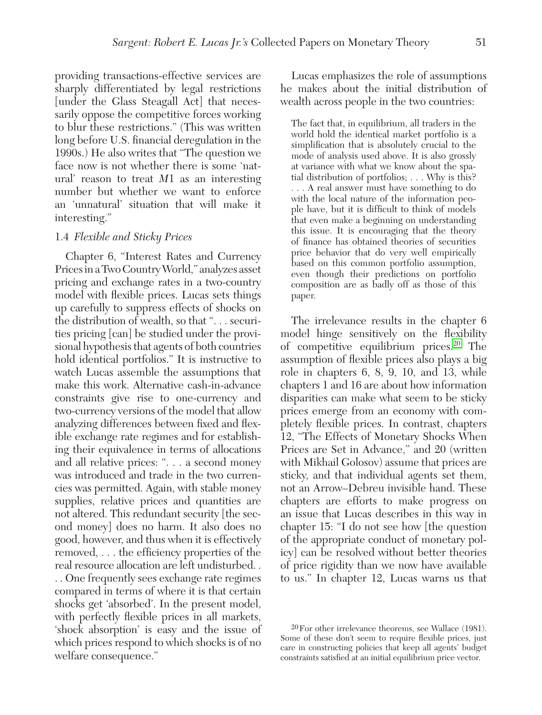providing transactions-effective services are sharply differentiated by legal restrictions [under the Glass Steagall Act] that necessarily oppose the competitive forces working to blur these restrictions." (This was written long before U.S. financial deregulation in the 1990s.) He also writes that "The question we face now is not whether there is some 'natural' reason to treat *M*1 as an interesting number but whether we want to enforce an 'unnatural' situation that will make it interesting."

#### 1.4 *Flexible and Sticky Prices*

Chapter 6, "Interest Rates and Currency Prices in a Two Country World," analyzes asset pricing and exchange rates in a two-country model with flexible prices. Lucas sets things up carefully to suppress effects of shocks on the distribution of wealth, so that ". . . securities pricing [can] be studied under the provisional hypothesis that agents of both countries hold identical portfolios." It is instructive to watch Lucas assemble the assumptions that make this work. Alternative cash-in-advance constraints give rise to one-currency and two-currency versions of the model that allow analyzing differences between fixed and flexible exchange rate regimes and for establishing their equivalence in terms of allocations and all relative prices: ". . . a second money was introduced and trade in the two currencies was permitted. Again, with stable money supplies, relative prices and quantities are not altered. This redundant security [the second money] does no harm. It also does no good, however, and thus when it is effectively removed, . . . the efficiency properties of the real resource allocation are left undisturbed. .

. . One frequently sees exchange rate regimes compared in terms of where it is that certain shocks get 'absorbed'. In the present model, with perfectly flexible prices in all markets, 'shock absorption' is easy and the issue of which prices respond to which shocks is of no welfare consequence."

Lucas emphasizes the role of assumptions he makes about the initial distribution of wealth across people in the two countries:

The fact that, in equilibrium, all traders in the world hold the identical market portfolio is a simplification that is absolutely crucial to the mode of analysis used above. It is also grossly at variance with what we know about the spatial distribution of portfolios; . . . Why is this? . . . A real answer must have something to do with the local nature of the information people have, but it is difficult to think of models that even make a beginning on understanding this issue. It is encouraging that the theory of finance has obtained theories of securities price behavior that do very well empirically based on this common portfolio assumption, even though their predictions on portfolio composition are as badly off as those of this paper.

The irrelevance results in the chapter 6 model hinge sensitively on the flexibility of competitive equilibrium prices.20 The assumption of flexible prices also plays a big role in chapters 6, 8, 9, 10, and 13, while chapters 1 and 16 are about how information disparities can make what seem to be sticky prices emerge from an economy with completely flexible prices. In contrast, chapters 12, "The Effects of Monetary Shocks When Prices are Set in Advance," and 20 (written with Mikhail Golosov) assume that prices are sticky, and that individual agents set them, not an Arrow–Debreu invisible hand. These chapters are efforts to make progress on an issue that Lucas describes in this way in chapter 15: "I do not see how [the question of the appropriate conduct of monetary policy] can be resolved without better theories of price rigidity than we now have available to us." In chapter 12, Lucas warns us that

<sup>20</sup>For other irrelevance theorems, see Wallace (1981). Some of these don't seem to require flexible prices, just care in constructing policies that keep all agents' budget constraints satisfied at an initial equilibrium price vector.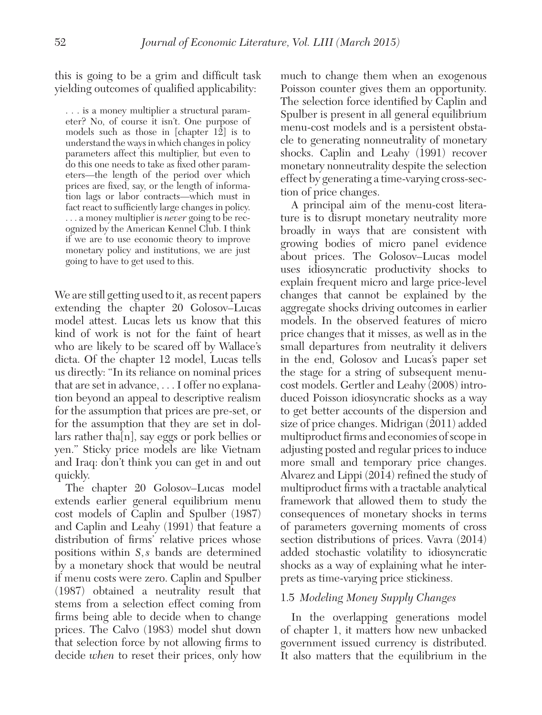this is going to be a grim and difficult task yielding outcomes of qualified applicability:

. . . is a money multiplier a structural parameter? No, of course it isn't. One purpose of models such as those in [chapter 12] is to understand the ways in which changes in policy parameters affect this multiplier, but even to do this one needs to take as fixed other parameters—the length of the period over which prices are fixed, say, or the length of information lags or labor contracts—which must in fact react to sufficiently large changes in policy. . . . a money multiplier is *never* going to be recognized by the American Kennel Club. I think if we are to use economic theory to improve monetary policy and institutions, we are just going to have to get used to this.

We are still getting used to it, as recent papers extending the chapter 20 Golosov–Lucas model attest. Lucas lets us know that this kind of work is not for the faint of heart who are likely to be scared off by Wallace's dicta. Of the chapter 12 model, Lucas tells us directly: "In its reliance on nominal prices that are set in advance, . . . I offer no explanation beyond an appeal to descriptive realism for the assumption that prices are pre-set, or for the assumption that they are set in dollars rather tha[n], say eggs or pork bellies or yen." Sticky price models are like Vietnam and Iraq: don't think you can get in and out quickly.

The chapter 20 Golosov–Lucas model extends earlier general equilibrium menu cost models of Caplin and Spulber (1987) and Caplin and Leahy (1991) that feature a distribution of firms' relative prices whose positions within *S*,*s* bands are determined by a monetary shock that would be neutral if menu costs were zero. Caplin and Spulber (1987) obtained a neutrality result that stems from a selection effect coming from firms being able to decide when to change prices. The Calvo (1983) model shut down that selection force by not allowing firms to decide *when* to reset their prices, only how

much to change them when an exogenous Poisson counter gives them an opportunity. The selection force identified by Caplin and Spulber is present in all general equilibrium menu-cost models and is a persistent obstacle to generating nonneutrality of monetary shocks. Caplin and Leahy (1991) recover monetary nonneutrality despite the selection effect by generating a time-varying cross-section of price changes.

A principal aim of the menu-cost literature is to disrupt monetary neutrality more broadly in ways that are consistent with growing bodies of micro panel evidence about prices. The Golosov–Lucas model uses idiosyncratic productivity shocks to explain frequent micro and large price-level changes that cannot be explained by the aggregate shocks driving outcomes in earlier models. In the observed features of micro price changes that it misses, as well as in the small departures from neutrality it delivers in the end, Golosov and Lucas's paper set the stage for a string of subsequent menucost models. Gertler and Leahy (2008) introduced Poisson idiosyncratic shocks as a way to get better accounts of the dispersion and size of price changes. Midrigan (2011) added multiproduct firms and economies of scope in adjusting posted and regular prices to induce more small and temporary price changes. Alvarez and Lippi (2014) refined the study of multiproduct firms with a tractable analytical framework that allowed them to study the consequences of monetary shocks in terms of parameters governing moments of cross section distributions of prices. Vavra (2014) added stochastic volatility to idiosyncratic shocks as a way of explaining what he interprets as time-varying price stickiness.

#### 1.5 *Modeling Money Supply Changes*

In the overlapping generations model of chapter 1, it matters how new unbacked government issued currency is distributed. It also matters that the equilibrium in the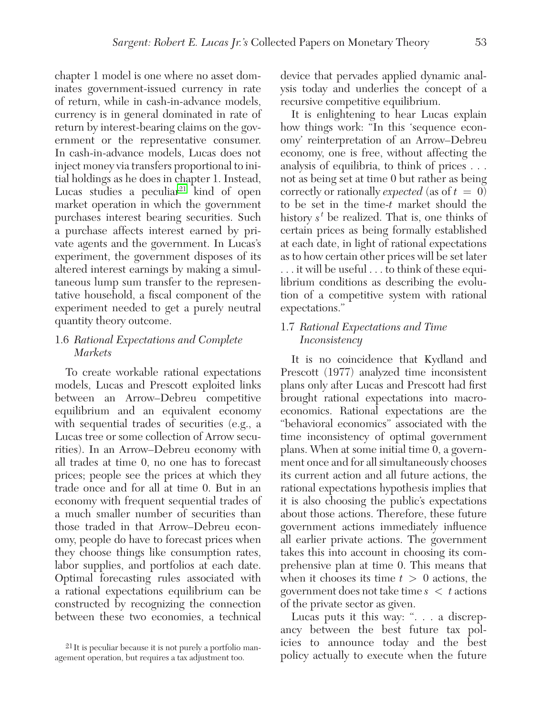chapter 1 model is one where no asset dominates government-issued currency in rate of return, while in cash-in-advance models, currency is in general dominated in rate of return by interest-bearing claims on the government or the representative consumer. In cash-in-advance models, Lucas does not inject money via transfers proportional to initial holdings as he does in chapter 1. Instead, Lucas studies a peculiar<sup>21</sup> kind of open market operation in which the government purchases interest bearing securities. Such a purchase affects interest earned by private agents and the government. In Lucas's experiment, the government disposes of its altered interest earnings by making a simultaneous lump sum transfer to the representative household, a fiscal component of the experiment needed to get a purely neutral quantity theory outcome.

#### 1.6 *Rational Expectations and Complete Markets*

To create workable rational expectations models, Lucas and Prescott exploited links between an Arrow–Debreu competitive equilibrium and an equivalent economy with sequential trades of securities (e.g., a Lucas tree or some collection of Arrow securities). In an Arrow–Debreu economy with all trades at time 0, no one has to forecast prices; people see the prices at which they trade once and for all at time 0. But in an economy with frequent sequential trades of a much smaller number of securities than those traded in that Arrow–Debreu economy, people do have to forecast prices when they choose things like consumption rates, labor supplies, and portfolios at each date. Optimal forecasting rules associated with a rational expectations equilibrium can be constructed by recognizing the connection between these two economies, a technical

device that pervades applied dynamic analysis today and underlies the concept of a recursive competitive equilibrium.

It is enlightening to hear Lucas explain how things work: "In this 'sequence economy' reinterpretation of an Arrow–Debreu economy, one is free, without affecting the analysis of equilibria, to think of prices . . . not as being set at time 0 but rather as being correctly or rationally *expected* (as of  $t = 0$ ) to be set in the time-*t* market should the history *s<sup>t</sup>* be realized. That is, one thinks of certain prices as being formally established at each date, in light of rational expectations as to how certain other prices will be set later . . . it will be useful . . . to think of these equilibrium conditions as describing the evolution of a competitive system with rational expectations."

#### 1.7 *Rational Expectations and Time Inconsistency*

It is no coincidence that Kydland and Prescott (1977) analyzed time inconsistent plans only after Lucas and Prescott had first brought rational expectations into macroeconomics. Rational expectations are the "behavioral economics" associated with the time inconsistency of optimal government plans. When at some initial time 0, a government once and for all simultaneously chooses its current action and all future actions, the rational expectations hypothesis implies that it is also choosing the public's expectations about those actions. Therefore, these future government actions immediately influence all earlier private actions. The government takes this into account in choosing its comprehensive plan at time 0. This means that when it chooses its time  $t > 0$  actions, the government does not take time *s* < *t* actions of the private sector as given.

Lucas puts it this way: ". . . a discrepancy between the best future tax policies to announce today and the best policy actually to execute when the future

<sup>21</sup> It is peculiar because it is not purely a portfolio management operation, but requires a tax adjustment too.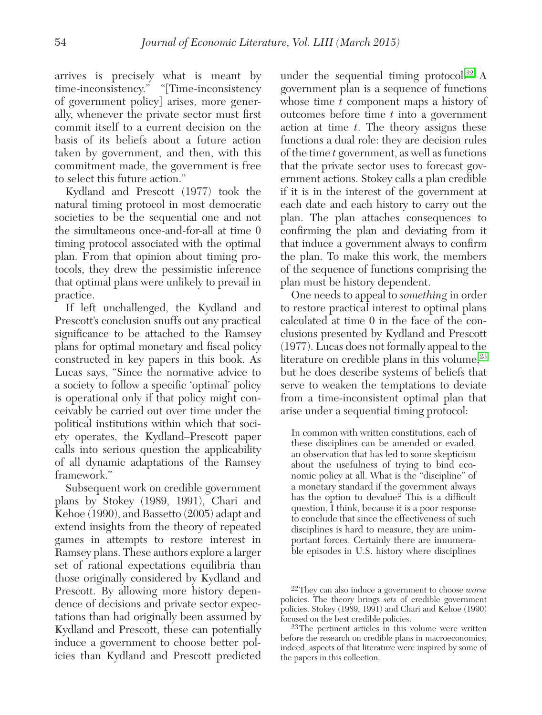arrives is precisely what is meant by time-inconsistency." "[Time-inconsistency of government policy] arises, more generally, whenever the private sector must first commit itself to a current decision on the basis of its beliefs about a future action taken by government, and then, with this commitment made, the government is free to select this future action."

Kydland and Prescott (1977) took the natural timing protocol in most democratic societies to be the sequential one and not the simultaneous once-and-for-all at time 0 timing protocol associated with the optimal plan. From that opinion about timing protocols, they drew the pessimistic inference that optimal plans were unlikely to prevail in practice.

If left unchallenged, the Kydland and Prescott's conclusion snuffs out any practical significance to be attached to the Ramsey plans for optimal monetary and fiscal policy constructed in key papers in this book. As Lucas says, "Since the normative advice to a society to follow a specific 'optimal' policy is operational only if that policy might conceivably be carried out over time under the political institutions within which that society operates, the Kydland–Prescott paper calls into serious question the applicability of all dynamic adaptations of the Ramsey framework."

Subsequent work on credible government plans by Stokey (1989, 1991), Chari and Kehoe (1990), and Bassetto (2005) adapt and extend insights from the theory of repeated games in attempts to restore interest in Ramsey plans. These authors explore a larger set of rational expectations equilibria than those originally considered by Kydland and Prescott. By allowing more history dependence of decisions and private sector expectations than had originally been assumed by Kydland and Prescott, these can potentially induce a government to choose better policies than Kydland and Prescott predicted

under the sequential timing protocol.<sup>22</sup> A government plan is a sequence of functions whose time *t* component maps a history of outcomes before time *t* into a government action at time *t*. The theory assigns these functions a dual role: they are decision rules of the time *t* government, as well as functions that the private sector uses to forecast government actions. Stokey calls a plan credible if it is in the interest of the government at each date and each history to carry out the plan. The plan attaches consequences to confirming the plan and deviating from it that induce a government always to confirm the plan. To make this work, the members of the sequence of functions comprising the plan must be history dependent.

One needs to appeal to *something* in order to restore practical interest to optimal plans calculated at time 0 in the face of the conclusions presented by Kydland and Prescott (1977). Lucas does not formally appeal to the literature on credible plans in this volume,  $23$ but he does describe systems of beliefs that serve to weaken the temptations to deviate from a time-inconsistent optimal plan that arise under a sequential timing protocol:

In common with written constitutions, each of these disciplines can be amended or evaded, an observation that has led to some skepticism about the usefulness of trying to bind economic policy at all. What is the "discipline" of a monetary standard if the government always has the option to devalue? This is a difficult question, I think, because it is a poor response to conclude that since the effectiveness of such disciplines is hard to measure, they are unimportant forces. Certainly there are innumerable episodes in U.S. history where disciplines

<sup>22</sup>They can also induce a government to choose *worse* policies. The theory brings *sets* of credible government policies. Stokey (1989, 1991) and Chari and Kehoe (1990) focused on the best credible policies.

<sup>23</sup>The pertinent articles in this volume were written before the research on credible plans in macroeconomics; indeed, aspects of that literature were inspired by some of the papers in this collection.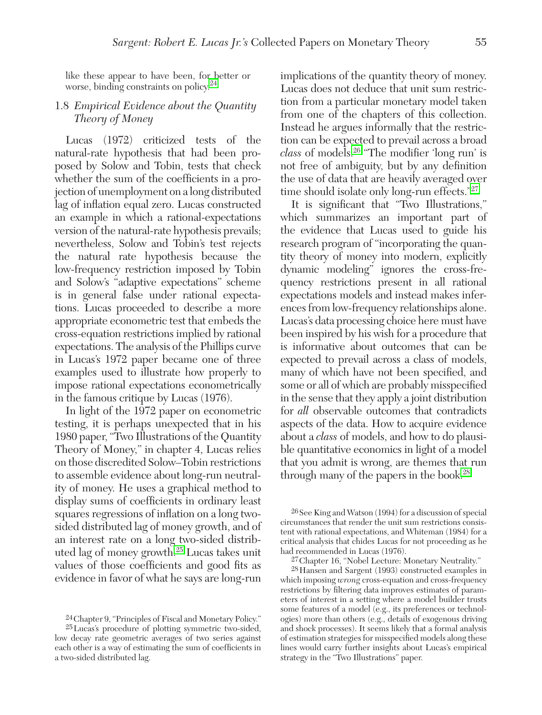like these appear to have been, for better or worse, binding constraints on policy.<sup>24</sup>

#### 1.8 *Empirical Evidence about the Quantity Theory of Money*

Lucas (1972) criticized tests of the natural-rate hypothesis that had been proposed by Solow and Tobin, tests that check whether the sum of the coefficients in a projection of unemployment on a long distributed lag of inflation equal zero. Lucas constructed an example in which a rational-expectations version of the natural-rate hypothesis prevails; nevertheless, Solow and Tobin's test rejects the natural rate hypothesis because the low-frequency restriction imposed by Tobin and Solow's "adaptive expectations" scheme is in general false under rational expectations. Lucas proceeded to describe a more appropriate econometric test that embeds the cross-equation restrictions implied by rational expectations. The analysis of the Phillips curve in Lucas's 1972 paper became one of three examples used to illustrate how properly to impose rational expectations econometrically in the famous critique by Lucas (1976).

In light of the 1972 paper on econometric testing, it is perhaps unexpected that in his 1980 paper, "Two Illustrations of the Quantity Theory of Money," in chapter 4, Lucas relies on those discredited Solow–Tobin restrictions to assemble evidence about long-run neutrality of money. He uses a graphical method to display sums of coefficients in ordinary least squares regressions of inflation on a long twosided distributed lag of money growth, and of an interest rate on a long two-sided distributed lag of money growth.25 Lucas takes unit values of those coefficients and good fits as evidence in favor of what he says are long-run

implications of the quantity theory of money. Lucas does not deduce that unit sum restriction from a particular monetary model taken from one of the chapters of this collection. Instead he argues informally that the restriction can be expected to prevail across a broad *class* of models.26 "The modifier 'long run' is not free of ambiguity, but by any definition the use of data that are heavily averaged over time should isolate only long-run effects."<sup>27</sup>

It is significant that "Two Illustrations," which summarizes an important part of the evidence that Lucas used to guide his research program of "incorporating the quantity theory of money into modern, explicitly dynamic modeling" ignores the cross-frequency restrictions present in all rational expectations models and instead makes inferences from low-frequency relationships alone. Lucas's data processing choice here must have been inspired by his wish for a procedure that is informative about outcomes that can be expected to prevail across a class of models, many of which have not been specified, and some or all of which are probably misspecified in the sense that they apply a joint distribution for *all* observable outcomes that contradicts aspects of the data. How to acquire evidence about a *class* of models, and how to do plausible quantitative economics in light of a model that you admit is wrong, are themes that run through many of the papers in the book.<sup>28</sup>

26See King and Watson (1994) for a discussion of special circumstances that render the unit sum restrictions consistent with rational expectations, and Whiteman (1984) for a critical analysis that chides Lucas for not proceeding as he had recommended in Lucas (1976).

28Hansen and Sargent (1993) constructed examples in which imposing *wrong* cross-equation and cross-frequency restrictions by filtering data improves estimates of parameters of interest in a setting where a model builder trusts some features of a model (e.g., its preferences or technologies) more than others (e.g., details of exogenous driving and shock processes). It seems likely that a formal analysis of estimation strategies for misspecified models along these lines would carry further insights about Lucas's empirical strategy in the "Two Illustrations" paper.

<sup>24</sup>Chapter 9, "Principles of Fiscal and Monetary Policy."

<sup>25</sup>Lucas's procedure of plotting symmetric two-sided, low decay rate geometric averages of two series against each other is a way of estimating the sum of coefficients in a two-sided distributed lag.

<sup>27</sup>Chapter 16, "Nobel Lecture: Monetary Neutrality."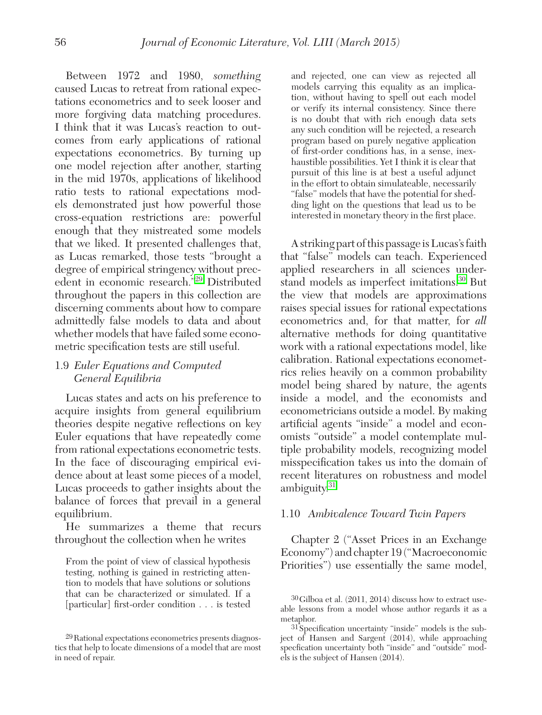Between 1972 and 1980, *something* caused Lucas to retreat from rational expectations econometrics and to seek looser and more forgiving data matching procedures. I think that it was Lucas's reaction to outcomes from early applications of rational expectations econometrics. By turning up one model rejection after another, starting in the mid 1970s, applications of likelihood ratio tests to rational expectations models demonstrated just how powerful those cross-equation restrictions are: powerful enough that they mistreated some models that we liked. It presented challenges that, as Lucas remarked, those tests "brought a degree of empirical stringency without precedent in economic research."29 Distributed throughout the papers in this collection are discerning comments about how to compare admittedly false models to data and about whether models that have failed some econometric specification tests are still useful.

#### 1.9 *Euler Equations and Computed General Equilibria*

Lucas states and acts on his preference to acquire insights from general equilibrium theories despite negative reflections on key Euler equations that have repeatedly come from rational expectations econometric tests. In the face of discouraging empirical evidence about at least some pieces of a model, Lucas proceeds to gather insights about the balance of forces that prevail in a general equilibrium.

He summarizes a theme that recurs throughout the collection when he writes

From the point of view of classical hypothesis testing, nothing is gained in restricting attention to models that have solutions or solutions that can be characterized or simulated. If a [particular] first-order condition . . . is tested and rejected, one can view as rejected all models carrying this equality as an implication, without having to spell out each model or verify its internal consistency. Since there is no doubt that with rich enough data sets any such condition will be rejected, a research program based on purely negative application of first-order conditions has, in a sense, inexhaustible possibilities. Yet I think it is clear that pursuit of this line is at best a useful adjunct in the effort to obtain simulateable, necessarily "false" models that have the potential for shedding light on the questions that lead us to be interested in monetary theory in the first place.

A striking part of this passage is Lucas's faith that "false" models can teach. Experienced applied researchers in all sciences understand models as imperfect imitations.<sup>30</sup> But the view that models are approximations raises special issues for rational expectations econometrics and, for that matter, for *all*  alternative methods for doing quantitative work with a rational expectations model, like calibration. Rational expectations econometrics relies heavily on a common probability model being shared by nature, the agents inside a model, and the economists and econometricians outside a model. By making artificial agents "inside" a model and economists "outside" a model contemplate multiple probability models, recognizing model misspecification takes us into the domain of recent literatures on robustness and model ambiguity.<sup>31</sup>

#### 1.10 *Ambivalence Toward Twin Papers*

Chapter 2 ("Asset Prices in an Exchange Economy") and chapter 19 ("Macroeconomic Priorities") use essentially the same model,

<sup>29</sup>Rational expectations econometrics presents diagnostics that help to locate dimensions of a model that are most in need of repair.

<sup>30</sup>Gilboa et al. (2011, 2014) discuss how to extract useable lessons from a model whose author regards it as a metaphor.

<sup>31</sup>Specification uncertainty "inside" models is the subject of Hansen and Sargent (2014), while approaching specfication uncertainty both "inside" and "outside" models is the subject of Hansen (2014).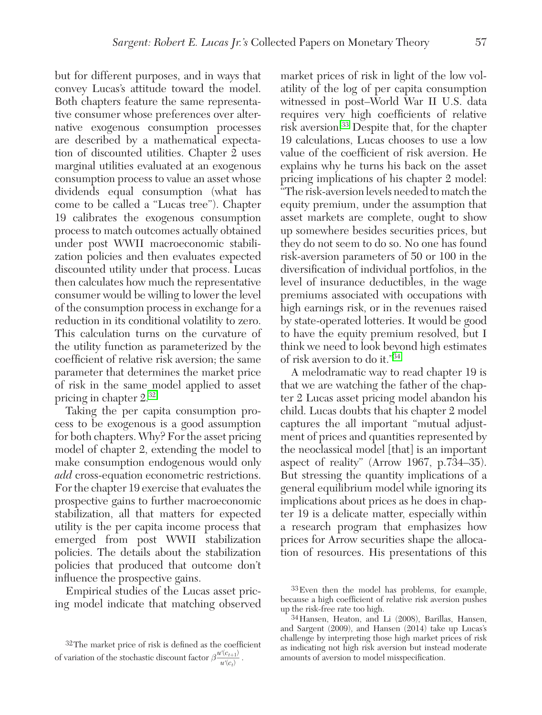but for different purposes, and in ways that convey Lucas's attitude toward the model. Both chapters feature the same representative consumer whose preferences over alternative exogenous consumption processes are described by a mathematical expectation of discounted utilities. Chapter 2 uses marginal utilities evaluated at an exogenous consumption process to value an asset whose dividends equal consumption (what has come to be called a "Lucas tree"). Chapter 19 calibrates the exogenous consumption process to match outcomes actually obtained under post WWII macroeconomic stabilization policies and then evaluates expected discounted utility under that process. Lucas then calculates how much the representative consumer would be willing to lower the level of the consumption process in exchange for a reduction in its conditional volatility to zero. This calculation turns on the curvature of the utility function as parameterized by the coefficient of relative risk aversion; the same parameter that determines the market price of risk in the same model applied to asset pricing in chapter 2.32

Taking the per capita consumption process to be exogenous is a good assumption for both chapters. Why? For the asset pricing model of chapter 2, extending the model to make consumption endogenous would only *add* cross-equation econometric restrictions. For the chapter 19 exercise that evaluates the prospective gains to further macroeconomic stabilization, all that matters for expected utility is the per capita income process that emerged from post WWII stabilization policies. The details about the stabilization policies that produced that outcome don't influence the prospective gains.

Empirical studies of the Lucas asset pricing model indicate that matching observed

market prices of risk in light of the low volatility of the log of per capita consumption witnessed in post–World War II U.S. data requires very high coefficients of relative risk aversion.33 Despite that, for the chapter 19 calculations, Lucas chooses to use a low value of the coefficient of risk aversion. He explains why he turns his back on the asset pricing implications of his chapter 2 model: "The risk-aversion levels needed to match the equity premium, under the assumption that asset markets are complete, ought to show up somewhere besides securities prices, but they do not seem to do so. No one has found risk-aversion parameters of 50 or 100 in the diversification of individual portfolios, in the level of insurance deductibles, in the wage premiums associated with occupations with high earnings risk, or in the revenues raised by state-operated lotteries. It would be good to have the equity premium resolved, but I think we need to look beyond high estimates of risk aversion to do it."34

A melodramatic way to read chapter 19 is that we are watching the father of the chapter 2 Lucas asset pricing model abandon his child. Lucas doubts that his chapter 2 model captures the all important "mutual adjustment of prices and quantities represented by the neoclassical model [that] is an important aspect of reality" (Arrow 1967, p.734–35). But stressing the quantity implications of a general equilibrium model while ignoring its implications about prices as he does in chapter 19 is a delicate matter, especially within a research program that emphasizes how prices for Arrow securities shape the allocation of resources. His presentations of this

<sup>32</sup>The market price of risk is defined as the coefficient of variation of the stochastic discount factor  $\beta \frac{u'(c_{t+1})}{u'(c_t)}$ .

<sup>33</sup>Even then the model has problems, for example, because a high coefficient of relative risk aversion pushes up the risk-free rate too high.

<sup>34</sup>Hansen, Heaton, and Li (2008), Barillas, Hansen, and Sargent (2009), and Hansen (2014) take up Lucas's challenge by interpreting those high market prices of risk as indicating not high risk aversion but instead moderate amounts of aversion to model misspecification.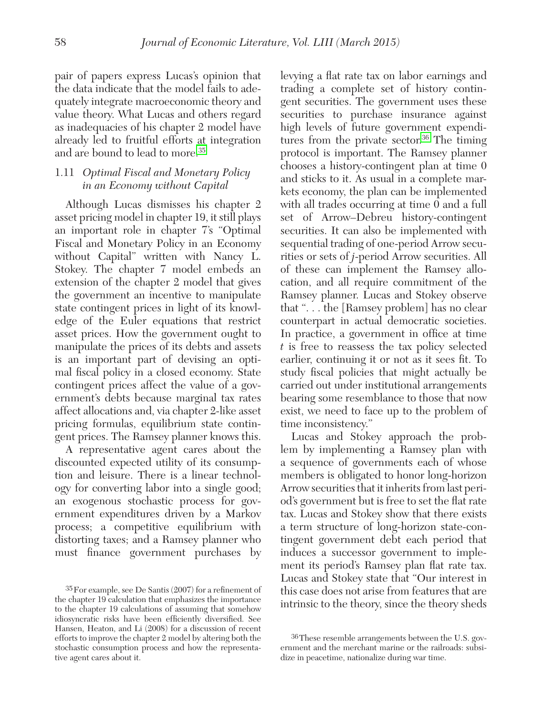pair of papers express Lucas's opinion that the data indicate that the model fails to adequately integrate macroeconomic theory and value theory. What Lucas and others regard as inadequacies of his chapter 2 model have already led to fruitful efforts at integration and are bound to lead to more.35

### 1.11 *Optimal Fiscal and Monetary Policy in an Economy without Capital*

Although Lucas dismisses his chapter 2 asset pricing model in chapter 19, it still plays an important role in chapter 7's "Optimal Fiscal and Monetary Policy in an Economy without Capital" written with Nancy L. Stokey. The chapter 7 model embeds an extension of the chapter 2 model that gives the government an incentive to manipulate state contingent prices in light of its knowledge of the Euler equations that restrict asset prices. How the government ought to manipulate the prices of its debts and assets is an important part of devising an optimal fiscal policy in a closed economy. State contingent prices affect the value of a government's debts because marginal tax rates affect allocations and, via chapter 2-like asset pricing formulas, equilibrium state contingent prices. The Ramsey planner knows this.

A representative agent cares about the discounted expected utility of its consumption and leisure. There is a linear technology for converting labor into a single good; an exogenous stochastic process for government expenditures driven by a Markov process; a competitive equilibrium with distorting taxes; and a Ramsey planner who must finance government purchases by

levying a flat rate tax on labor earnings and trading a complete set of history contingent securities. The government uses these securities to purchase insurance against high levels of future government expenditures from the private sector.<sup>36</sup> The timing protocol is important. The Ramsey planner chooses a history-contingent plan at time 0 and sticks to it. As usual in a complete markets economy, the plan can be implemented with all trades occurring at time 0 and a full set of Arrow–Debreu history-contingent securities. It can also be implemented with sequential trading of one-period Arrow securities or sets of *j*-period Arrow securities. All of these can implement the Ramsey allocation, and all require commitment of the Ramsey planner. Lucas and Stokey observe that ". . . the [Ramsey problem] has no clear counterpart in actual democratic societies. In practice, a government in office at time *t* is free to reassess the tax policy selected earlier, continuing it or not as it sees fit. To study fiscal policies that might actually be carried out under institutional arrangements bearing some resemblance to those that now exist, we need to face up to the problem of time inconsistency."

Lucas and Stokey approach the problem by implementing a Ramsey plan with a sequence of governments each of whose members is obligated to honor long-horizon Arrow securities that it inherits from last period's government but is free to set the flat rate tax. Lucas and Stokey show that there exists a term structure of long-horizon state-contingent government debt each period that induces a successor government to implement its period's Ramsey plan flat rate tax. Lucas and Stokey state that "Our interest in this case does not arise from features that are intrinsic to the theory, since the theory sheds

<sup>35</sup>For example, see De Santis (2007) for a refinement of the chapter 19 calculation that emphasizes the importance to the chapter 19 calculations of assuming that somehow idiosyncratic risks have been efficiently diversified. See Hansen, Heaton, and Li (2008) for a discussion of recent efforts to improve the chapter 2 model by altering both the stochastic consumption process and how the representative agent cares about it.

<sup>36</sup>These resemble arrangements between the U.S. government and the merchant marine or the railroads: subsidize in peacetime, nationalize during war time.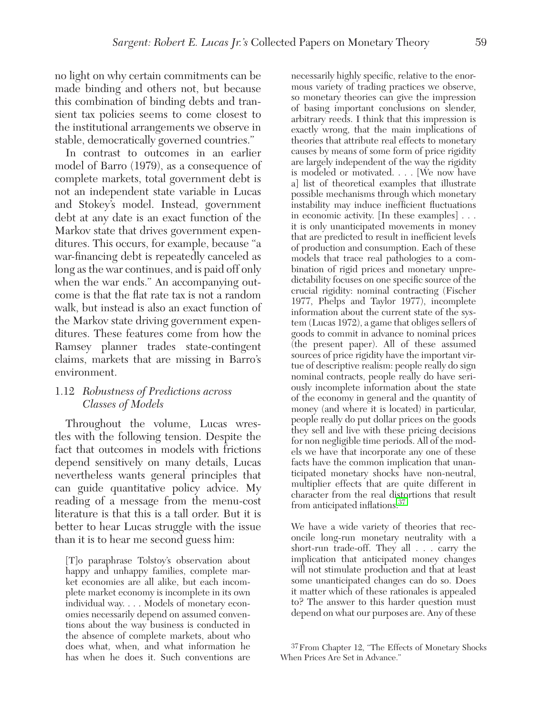no light on why certain commitments can be made binding and others not, but because this combination of binding debts and transient tax policies seems to come closest to the institutional arrangements we observe in stable, democratically governed countries."

In contrast to outcomes in an earlier model of Barro (1979), as a consequence of complete markets, total government debt is not an independent state variable in Lucas and Stokey's model. Instead, government debt at any date is an exact function of the Markov state that drives government expenditures. This occurs, for example, because "a war-financing debt is repeatedly canceled as long as the war continues, and is paid off only when the war ends." An accompanying outcome is that the flat rate tax is not a random walk, but instead is also an exact function of the Markov state driving government expenditures. These features come from how the Ramsey planner trades state-contingent claims, markets that are missing in Barro's environment.

#### 1.12 *Robustness of Predictions across Classes of Models*

Throughout the volume, Lucas wrestles with the following tension. Despite the fact that outcomes in models with frictions depend sensitively on many details, Lucas nevertheless wants general principles that can guide quantitative policy advice. My reading of a message from the menu-cost literature is that this is a tall order. But it is better to hear Lucas struggle with the issue than it is to hear me second guess him:

[T]o paraphrase Tolstoy's observation about happy and unhappy families, complete market economies are all alike, but each incomplete market economy is incomplete in its own individual way. . . . Models of monetary economies necessarily depend on assumed conventions about the way business is conducted in the absence of complete markets, about who does what, when, and what information he has when he does it. Such conventions are

necessarily highly specific, relative to the enormous variety of trading practices we observe, so monetary theories can give the impression of basing important conclusions on slender, arbitrary reeds. I think that this impression is exactly wrong, that the main implications of theories that attribute real effects to monetary causes by means of some form of price rigidity are largely independent of the way the rigidity is modeled or motivated. . . . [We now have a] list of theoretical examples that illustrate possible mechanisms through which monetary instability may induce inefficient fluctuations in economic activity. [In these examples] . . . it is only unanticipated movements in money that are predicted to result in inefficient levels of production and consumption. Each of these models that trace real pathologies to a combination of rigid prices and monetary unpredictability focuses on one specific source of the crucial rigidity: nominal contracting (Fischer 1977, Phelps and Taylor 1977), incomplete information about the current state of the system (Lucas 1972), a game that obliges sellers of goods to commit in advance to nominal prices (the present paper). All of these assumed sources of price rigidity have the important virtue of descriptive realism: people really do sign nominal contracts, people really do have seriously incomplete information about the state of the economy in general and the quantity of money (and where it is located) in particular, people really do put dollar prices on the goods they sell and live with these pricing decisions for non negligible time periods. All of the models we have that incorporate any one of these facts have the common implication that unanticipated monetary shocks have non-neutral, multiplier effects that are quite different in character from the real distortions that result from anticipated inflations.<sup>37</sup>

We have a wide variety of theories that reconcile long-run monetary neutrality with a short-run trade-off. They all . . . carry the implication that anticipated money changes will not stimulate production and that at least some unanticipated changes can do so. Does it matter which of these rationales is appealed to? The answer to this harder question must depend on what our purposes are. Any of these

<sup>37</sup>From Chapter 12, "The Effects of Monetary Shocks When Prices Are Set in Advance."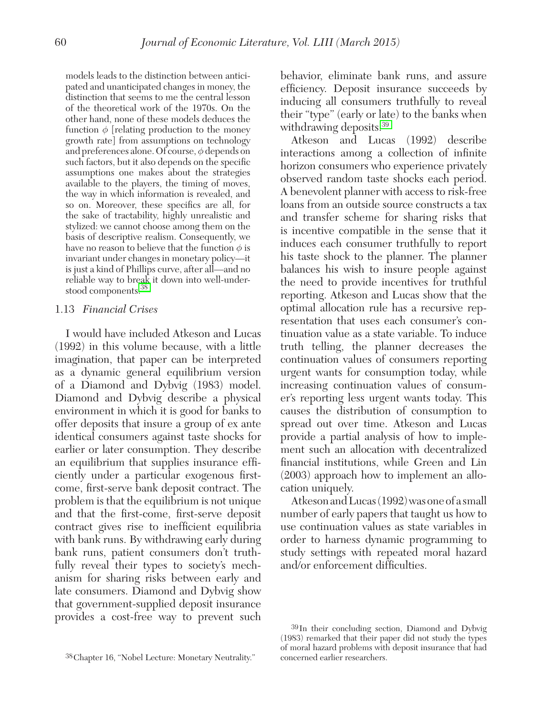models leads to the distinction between anticipated and unanticipated changes in money, the distinction that seems to me the central lesson of the theoretical work of the 1970s. On the other hand, none of these models deduces the function  $\phi$  [relating production to the money growth rate] from assumptions on technology and preferences alone. Of course,  $\phi$  depends on such factors, but it also depends on the specific assumptions one makes about the strategies available to the players, the timing of moves, the way in which information is revealed, and so on. Moreover, these specifics are all, for the sake of tractability, highly unrealistic and stylized: we cannot choose among them on the basis of descriptive realism. Consequently, we have no reason to believe that the function  $\phi$  is invariant under changes in monetary policy—it is just a kind of Phillips curve, after all—and no reliable way to break it down into well-understood components.38

#### 1.13 *Financial Crises*

I would have included Atkeson and Lucas (1992) in this volume because, with a little imagination, that paper can be interpreted as a dynamic general equilibrium version of a Diamond and Dybvig (1983) model. Diamond and Dybvig describe a physical environment in which it is good for banks to offer deposits that insure a group of ex ante identical consumers against taste shocks for earlier or later consumption. They describe an equilibrium that supplies insurance efficiently under a particular exogenous firstcome, first-serve bank deposit contract. The problem is that the equilibrium is not unique and that the first-come, first-serve deposit contract gives rise to inefficient equilibria with bank runs. By withdrawing early during bank runs, patient consumers don't truthfully reveal their types to society's mechanism for sharing risks between early and late consumers. Diamond and Dybvig show that government-supplied deposit insurance provides a cost-free way to prevent such

behavior, eliminate bank runs, and assure efficiency. Deposit insurance succeeds by inducing all consumers truthfully to reveal their "type" (early or late) to the banks when withdrawing deposits.<sup>39</sup>

Atkeson and Lucas (1992) describe interactions among a collection of infinite horizon consumers who experience privately observed random taste shocks each period. A benevolent planner with access to risk-free loans from an outside source constructs a tax and transfer scheme for sharing risks that is incentive compatible in the sense that it induces each consumer truthfully to report his taste shock to the planner. The planner balances his wish to insure people against the need to provide incentives for truthful reporting. Atkeson and Lucas show that the optimal allocation rule has a recursive representation that uses each consumer's continuation value as a state variable. To induce truth telling, the planner decreases the continuation values of consumers reporting urgent wants for consumption today, while increasing continuation values of consumer's reporting less urgent wants today. This causes the distribution of consumption to spread out over time. Atkeson and Lucas provide a partial analysis of how to implement such an allocation with decentralized financial institutions, while Green and Lin (2003) approach how to implement an allocation uniquely.

Atkeson and Lucas (1992) was one of a small number of early papers that taught us how to use continuation values as state variables in order to harness dynamic programming to study settings with repeated moral hazard and/or enforcement difficulties.

<sup>38</sup>Chapter 16, "Nobel Lecture: Monetary Neutrality."

<sup>39</sup>In their concluding section, Diamond and Dybvig (1983) remarked that their paper did not study the types of moral hazard problems with deposit insurance that had concerned earlier researchers.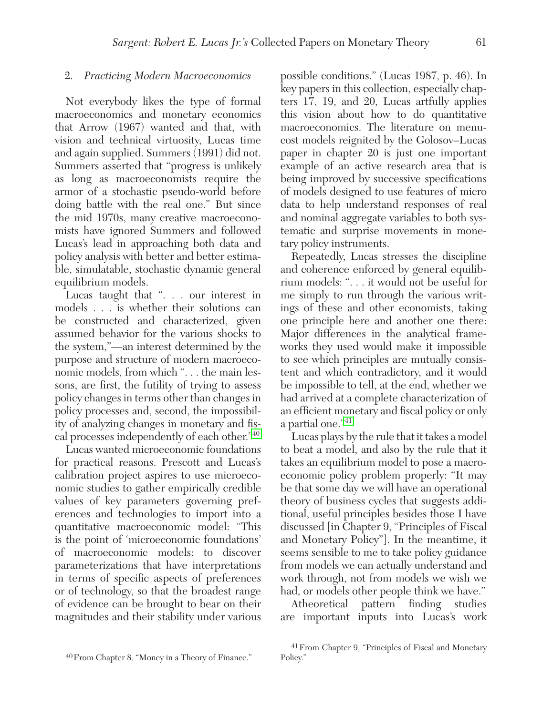#### 2. *Practicing Modern Macroeconomics*

Not everybody likes the type of formal macroeconomics and monetary economics that Arrow (1967) wanted and that, with vision and technical virtuosity, Lucas time and again supplied. Summers (1991) did not. Summers asserted that "progress is unlikely as long as macroeconomists require the armor of a stochastic pseudo-world before doing battle with the real one." But since the mid 1970s, many creative macroeconomists have ignored Summers and followed Lucas's lead in approaching both data and policy analysis with better and better estimable, simulatable, stochastic dynamic general equilibrium models.

Lucas taught that ". . . our interest in models . . . is whether their solutions can be constructed and characterized, given assumed behavior for the various shocks to the system,"—an interest determined by the purpose and structure of modern macroeconomic models, from which ". . . the main lessons, are first, the futility of trying to assess policy changes in terms other than changes in policy processes and, second, the impossibility of analyzing changes in monetary and fiscal processes independently of each other."40

Lucas wanted microeconomic foundations for practical reasons. Prescott and Lucas's calibration project aspires to use microeconomic studies to gather empirically credible values of key parameters governing preferences and technologies to import into a quantitative macroeconomic model: "This is the point of 'microeconomic foundations' of macroeconomic models: to discover parameterizations that have interpretations in terms of specific aspects of preferences or of technology, so that the broadest range of evidence can be brought to bear on their magnitudes and their stability under various

possible conditions." (Lucas 1987, p. 46). In key papers in this collection, especially chapters 17, 19, and 20, Lucas artfully applies this vision about how to do quantitative macroeconomics. The literature on menucost models reignited by the Golosov–Lucas paper in chapter 20 is just one important example of an active research area that is being improved by successive specifications of models designed to use features of micro data to help understand responses of real and nominal aggregate variables to both systematic and surprise movements in monetary policy instruments.

Repeatedly, Lucas stresses the discipline and coherence enforced by general equilibrium models: ". . . it would not be useful for me simply to run through the various writings of these and other economists, taking one principle here and another one there: Major differences in the analytical frameworks they used would make it impossible to see which principles are mutually consistent and which contradictory, and it would be impossible to tell, at the end, whether we had arrived at a complete characterization of an efficient monetary and fiscal policy or only a partial one."41

Lucas plays by the rule that it takes a model to beat a model, and also by the rule that it takes an equilibrium model to pose a macroeconomic policy problem properly: "It may be that some day we will have an operational theory of business cycles that suggests additional, useful principles besides those I have discussed [in Chapter 9, "Principles of Fiscal and Monetary Policy"]. In the meantime, it seems sensible to me to take policy guidance from models we can actually understand and work through, not from models we wish we had, or models other people think we have."

Atheoretical pattern finding studies are important inputs into Lucas's work

<sup>40</sup>From Chapter 8, "Money in a Theory of Finance."

<sup>41</sup>From Chapter 9, "Principles of Fiscal and Monetary Policy."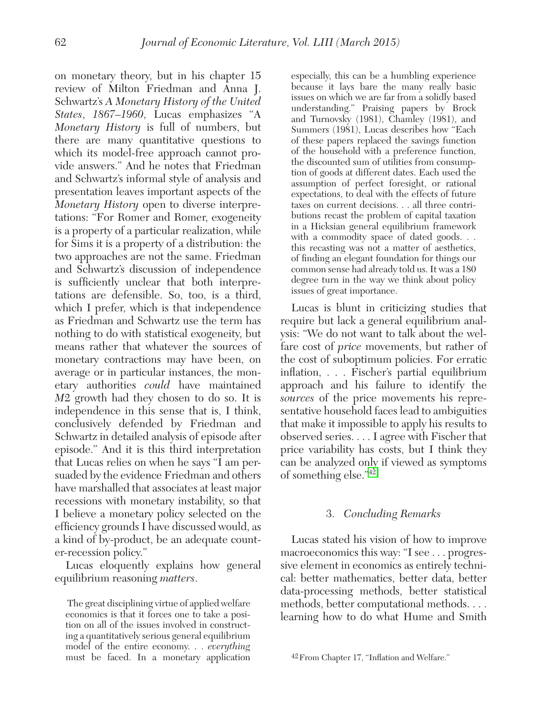on monetary theory, but in his chapter 15 review of Milton Friedman and Anna J. Schwartz's *A Monetary History of the United States*, *1867–1960*, Lucas emphasizes "A *Monetary History* is full of numbers, but there are many quantitative questions to which its model-free approach cannot provide answers." And he notes that Friedman and Schwartz's informal style of analysis and presentation leaves important aspects of the *Monetary History* open to diverse interpretations: "For Romer and Romer, exogeneity is a property of a particular realization, while for Sims it is a property of a distribution: the two approaches are not the same. Friedman and Schwartz's discussion of independence is sufficiently unclear that both interpretations are defensible. So, too, is a third, which I prefer, which is that independence as Friedman and Schwartz use the term has nothing to do with statistical exogeneity, but means rather that whatever the sources of monetary contractions may have been, on average or in particular instances, the monetary authorities *could* have maintained *M*2 growth had they chosen to do so. It is independence in this sense that is, I think, conclusively defended by Friedman and Schwartz in detailed analysis of episode after episode." And it is this third interpretation that Lucas relies on when he says "I am persuaded by the evidence Friedman and others have marshalled that associates at least major recessions with monetary instability, so that I believe a monetary policy selected on the efficiency grounds I have discussed would, as a kind of by-product, be an adequate counter-recession policy."

Lucas eloquently explains how general equilibrium reasoning *matters*.

 The great disciplining virtue of applied welfare economics is that it forces one to take a position on all of the issues involved in constructing a quantitatively serious general equilibrium model of the entire economy. . . *everything*  must be faced. In a monetary application

especially, this can be a humbling experience because it lays bare the many really basic issues on which we are far from a solidly based understanding." Praising papers by Brock and Turnovsky (1981), Chamley (1981), and Summers (1981), Lucas describes how "Each of these papers replaced the savings function of the household with a preference function, the discounted sum of utilities from consumption of goods at different dates. Each used the assumption of perfect foresight, or rational expectations, to deal with the effects of future taxes on current decisions. . . all three contributions recast the problem of capital taxation in a Hicksian general equilibrium framework with a commodity space of dated goods... this recasting was not a matter of aesthetics, of finding an elegant foundation for things our common sense had already told us. It was a 180 degree turn in the way we think about policy issues of great importance.

Lucas is blunt in criticizing studies that require but lack a general equilibrium analysis: "We do not want to talk about the welfare cost of *price* movements, but rather of the cost of suboptimum policies. For erratic inflation, . . . Fischer's partial equilibrium approach and his failure to identify the *sources* of the price movements his representative household faces lead to ambiguities that make it impossible to apply his results to observed series. . . . I agree with Fischer that price variability has costs, but I think they can be analyzed only if viewed as symptoms of something else."42

#### 3. *Concluding Remarks*

Lucas stated his vision of how to improve macroeconomics this way: "I see . . . progressive element in economics as entirely technical: better mathematics, better data, better data-processing methods, better statistical methods, better computational methods. . . . learning how to do what Hume and Smith

<sup>42</sup>From Chapter 17, "Inflation and Welfare."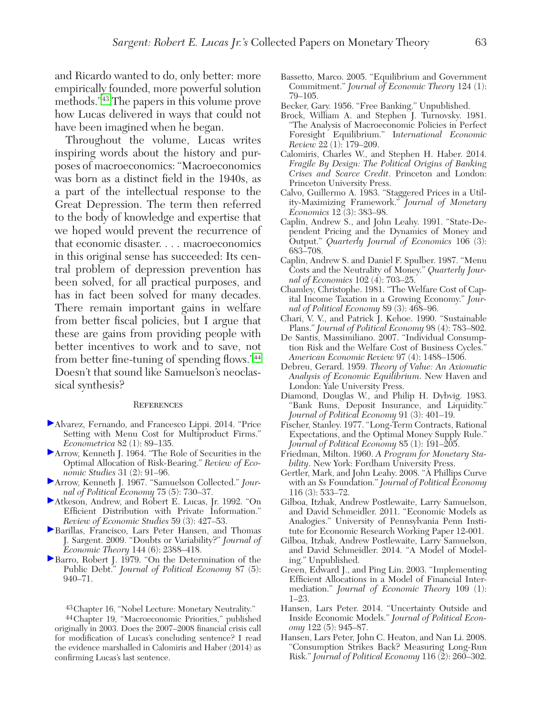and Ricardo wanted to do, only better: more empirically founded, more powerful solution methods."43 The papers in this volume prove how Lucas delivered in ways that could not have been imagined when he began.

Throughout the volume, Lucas writes inspiring words about the history and purposes of macroeconomics: "Macroeconomics was born as a distinct field in the 1940s, as a part of the intellectual response to the Great Depression. The term then referred to the body of knowledge and expertise that we hoped would prevent the recurrence of that economic disaster. . . . macroeconomics in this original sense has succeeded: Its central problem of depression prevention has been solved, for all practical purposes, and has in fact been solved for many decades. There remain important gains in welfare from better fiscal policies, but I argue that these are gains from providing people with better incentives to work and to save, not from better fine-tuning of spending flows."<sup>44</sup> Doesn't that sound like Samuelson's neoclassical synthesis?

#### **REFERENCES**

- Alvarez, Fernando, and Francesco Lippi. 2014. "Price Setting with Menu Cost for Multiproduct Firms." *Econometrica* 82 (1): 89–135.
- Arrow, Kenneth J. 1964. "The Role of Securities in the Optimal Allocation of Risk-Bearing." *Review of Economic Studies* 31 (2): 91–96.
- Arrow, Kenneth J. 1967. "Samuelson Collected." *Journal of Political Economy* 75 (5): 730–37.
- Atkeson, Andrew, and Robert E. Lucas, Jr. 1992. "On Efficient Distribution with Private Information." *Review of Economic Studies* 59 (3): 427–53.
- Barillas, Francisco, Lars Peter Hansen, and Thomas J. Sargent. 2009. "Doubts or Variability?" *Journal of Economic Theory* 144 (6): 2388–418.
- Barro, Robert J. 1979. "On the Determination of the Public Debt." *Journal of Political Economy* 87 (5): 940–71.

43Chapter 16, "Nobel Lecture: Monetary Neutrality."

44Chapter 19, "Macroeconomic Priorities," published originally in 2003. Does the 2007–2008 financial crisis call for modification of Lucas's concluding sentence? I read the evidence marshalled in Calomiris and Haber (2014) as confirming Lucas's last sentence.

- Bassetto, Marco. 2005. "Equilibrium and Government Commitment." *Journal of Economic Theory* 124 (1): 79–105.
- Becker, Gary. 1956. "Free Banking." Unpublished.
- Brock, William A. and Stephen J. Turnovsky. 1981. "The Analysis of Macroeconomic Policies in Perfect Foresight Equilibrium." I*nternational Economic Review* 22 (1): 179–209.
- Calomiris, Charles W., and Stephen H. Haber. 2014. *Fragile By Design: The Political Origins of Banking Crises and Scarce Credit*. Princeton and London: Princeton University Press.
- Calvo, Guillermo A. 1983. "Staggered Prices in a Utility-Maximizing Framework." *Journal of Monetary Economics* 12 (3): 383–98.
- Caplin, Andrew S., and John Leahy. 1991. "State-Dependent Pricing and the Dynamics of Money and Output." *Quarterly Journal of Economics* 106 (3): 683–708.
- Caplin, Andrew S. and Daniel F. Spulber. 1987. "Menu Costs and the Neutrality of Money." *Quarterly Journal of Economics* 102 (4): 703–25.
- Chamley, Christophe. 1981. "The Welfare Cost of Capital Income Taxation in a Growing Economy." *Journal of Political Economy* 89 (3): 468–96.
- Chari, V. V., and Patrick J. Kehoe. 1990. "Sustainable Plans." *Journal of Political Economy* 98 (4): 783–802.
- De Santis, Massimiliano. 2007. "Individual Consumption Risk and the Welfare Cost of Business Cycles." *American Economic Review* 97 (4): 1488–1506.
- Debreu, Gerard. 1959. *Theory of Value: An Axiomatic Analysis of Economic Equilibrium*. New Haven and London: Yale University Press.
- Diamond, Douglas W., and Philip H. Dybvig. 1983. "Bank Runs, Deposit Insurance, and Liquidity." *Journal of Political Economy* 91 (3): 401–19.
- Fischer, Stanley. 1977. "Long-Term Contracts, Rational Expectations, and the Optimal Money Supply Rule." *Journal of Political Economy* 85 (1): 191–205.
- Friedman, Milton. 1960. *A Program for Monetary Stability*. New York: Fordham University Press.
- Gertler, Mark, and John Leahy. 2008. "A Phillips Curve with an *Ss* Foundation." *Journal of Political Economy* 116 (3): 533–72.
- Gilboa, Itzhak, Andrew Postlewaite, Larry Samuelson, and David Schmeidler. 2011. "Economic Models as Analogies." University of Pennsylvania Penn Institute for Economic Research Working Paper 12-001.
- Gilboa, Itzhak, Andrew Postlewaite, Larry Samuelson, and David Schmeidler. 2014. "A Model of Modeling." Unpublished.
- Green, Edward J., and Ping Lin. 2003. "Implementing Efficient Allocations in a Model of Financial Intermediation." *Journal of Economic Theory* 109 (1): 1–23.
- Hansen, Lars Peter. 2014. "Uncertainty Outside and Inside Economic Models." *Journal of Political Economy* 122 (5): 945–87.
- Hansen, Lars Peter, John C. Heaton, and Nan Li. 2008. "Consumption Strikes Back? Measuring Long-Run Risk." *Journal of Political Economy* 116 (2): 260–302.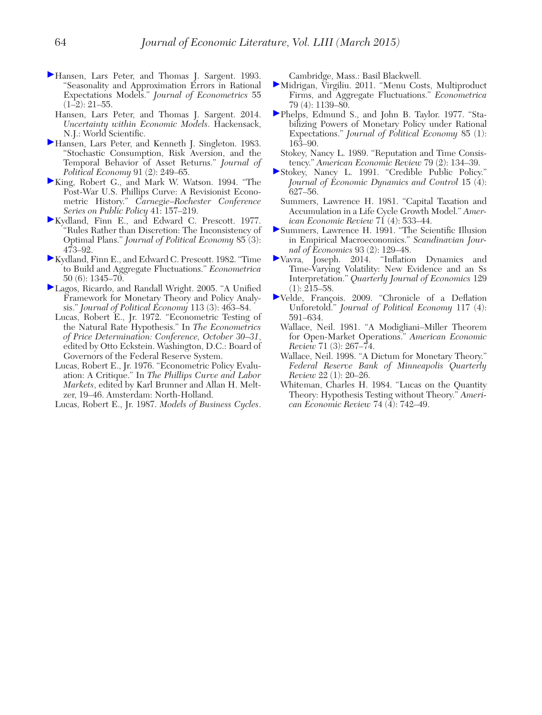- Hansen, Lars Peter, and Thomas J. Sargent. 1993. "Seasonality and Approximation Errors in Rational Expectations Models." *Journal of Econometrics* 55  $(1-2): 21-55.$ 
	- Hansen, Lars Peter, and Thomas J. Sargent. 2014. *Uncertainty within Economic Models*. Hackensack, N.J.: World Scientific.
- Hansen, Lars Peter, and Kenneth J. Singleton. 1983. "Stochastic Consumption, Risk Aversion, and the Temporal Behavior of Asset Returns." *Journal of Political Economy* 91 (2): 249–65.
- King, Robert G., and Mark W. Watson. 1994. "The Post-War U.S. Phillips Curve: A Revisionist Econometric History." *Carnegie–Rochester Conference Series on Public Policy* 41: 157–219.
- Kydland, Finn E., and Edward C. Prescott. 1977. "Rules Rather than Discretion: The Inconsistency of Optimal Plans." *Journal of Political Economy* 85 (3): 473–92.
- Kydland, Finn E., and Edward C. Prescott. 1982. "Time to Build and Aggregate Fluctuations." *Econometrica*  50 (6): 1345–70.
- Lagos, Ricardo, and Randall Wright. 2005. "A Unified Framework for Monetary Theory and Policy Analysis." *Journal of Political Economy* 113 (3): 463–84.
	- Lucas, Robert E., Jr. 1972. "Econometric Testing of the Natural Rate Hypothesis." In *The Econometrics of Price Determination: Conference, October 30–31*, edited by Otto Eckstein. Washington, D.C.: Board of Governors of the Federal Reserve System.
	- Lucas, Robert E., Jr. 1976. "Econometric Policy Evaluation: A Critique." In *The Phillips Curve and Labor Markets*, edited by Karl Brunner and Allan H. Meltzer, 19–46. Amsterdam: North-Holland.
	- Lucas, Robert E., Jr. 1987. *Models of Business Cycles*.

Cambridge, Mass.: Basil Blackwell.

- Midrigan, Virgiliu. 2011. "Menu Costs, Multiproduct Firms, and Aggregate Fluctuations." *Econometrica* 79 (4): 1139–80.
- Phelps, Edmund S., and John B. Taylor. 1977. "Stabilizing Powers of Monetary Policy under Rational Expectations." *Journal of Political Economy* 85 (1): 163–90.
	- Stokey, Nancy L. 1989. "Reputation and Time Consistency." *American Economic Review* 79 (2): 134–39.
- Stokey, Nancy L. 1991. "Credible Public Policy." *Journal of Economic Dynamics and Control* 15 (4): 627–56.
- Summers, Lawrence H. 1981. "Capital Taxation and Accumulation in a Life Cycle Growth Model." *American Economic Review* 71 (4): 533–44.
- Summers, Lawrence H. 1991. "The Scientific Illusion in Empirical Macroeconomics." *Scandinavian Journal of Economics* 93 (2): 129–48.
- Vavra, Joseph. 2014. "Inflation Dynamics and Time-Varying Volatility: New Evidence and an Ss Interpretation." *Quarterly Journal of Economics* 129  $(1): 215 - 58.$
- Velde, François. 2009. "Chronicle of a Deflation Unforetold." *Journal of Political Economy* 117 (4): 591–634.
	- Wallace, Neil. 1981. "A Modigliani–Miller Theorem for Open-Market Operations." *American Economic Review* 71 (3): 267–74.
	- Wallace, Neil. 1998. "A Dictum for Monetary Theory." *Federal Reserve Bank of Minneapolis Quarterly Review* 22 (1): 20–26.
	- Whiteman, Charles H. 1984. "Lucas on the Quantity Theory: Hypothesis Testing without Theory." *American Economic Review* 74 (4): 742–49.